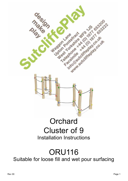

Suitable for loose fill and wet pour surfacing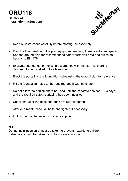

- 1 Read all instructions carefully before starting the assembly.
- 2 Plan the final position of the play equipment ensuring there is sufficient space. See the ground plan for recommended safety surfacing area and critical fall heights to EN1176.
- 3 Excavate the foundation holes in accordance with the plan. Orchard is designed to be installed onto a level site.
- 4 Erect the posts into the foundation holes using the ground plan for reference.
- 5 Fill the foundation holes to the required depth with concrete.
- 6 Do not allow the equipment to be used until the concrete has set (2 3 days) and the required safety surfacing has been installed.
- 7 Check that all fixing bolts and grips are fully tightened.
- 8 After one month check all bolts and tighten if necessary.
- 9 Follow the maintenance instructions supplied.

### NB

During installation care must be taken to prevent hazards to children. Extra care should be taken if conditions are abnormal.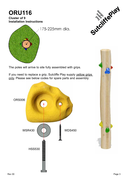# **ORU116**

**Cluster of 9 Installation Instructions**





The poles will arrive to site fully assembled with grips.

If you need to replace a grip, Sutcliffe Play supply yellow grips only. Please see below codes for spare parts and assembly:



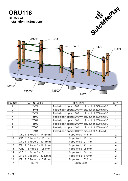



| ITEM NO. | PART NUMBER             | <b>DESCRIPTION</b>                             | QTY. |
|----------|-------------------------|------------------------------------------------|------|
|          | T3491                   | Peeled post approx 200mm dia. cut at 2400mm SC | 2    |
| 2        | T3498                   | Peeled post approx 200mm dia. cut at 2600mm SC |      |
| 3        | T3499                   | Peeled post approx 200mm dia. cut at 2600mm SC |      |
| 4        | T3500                   | Peeled post approx 200mm dia. cut at 2600mm SC |      |
| 5        | T3501                   | Peeled post approx 200mm dia. cut at 2800mm SC |      |
| 6        | T3502                   | Peeled post approx 200mm dia. cut at 2800mm SC |      |
| 7        | T3503                   | Peeled post approx 200mm dia. cut at 2800mm SC |      |
| 8        | T3504                   | Peeled post approx 200mm dia. cut at 2800mm SC |      |
| 9        | ORU 116 Rope A - 1445mm | Rope Walk 1445mm                               | 2    |
| 10       | ORU 116 Rope B - 1791mm | Rope Walk 1791mm                               | 2    |
| 11       | ORU 116 Rope C - 1011mm | Rope Walk 1011mm                               | 2    |
| 12       | ORU 116 Rope D - 1211mm | Rope Walk 1211mm                               | 4    |
| 13       | ORU 116 Rope E - 1053mm | Rope Walk 1053mm                               | 2    |
| 14       | ORU 116 Rope F - 1661mm | Rope Walk 1661mm                               | 2    |
| 15       | ORU 116 Rope G - 1340mm | Rope Walk 1340mm                               | 2    |
| 16       | ORU 116 Rope H - 1559mm | Rope Walk 1559mm                               | 2    |
| 17       | B0195                   | Climb Grips                                    | 50   |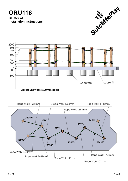

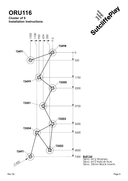



<mark>Bolt List</mark><br>36no. M12 Washers<br>36no. M12 Nylcok Nuts<br>36no. 33mm Black Inserts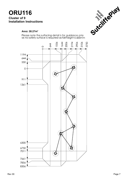#### Area: 30.27m<sup>2</sup>

Please note the surfacing detail is for guidance only<br>as no safety surface is required as fall height is 600mm